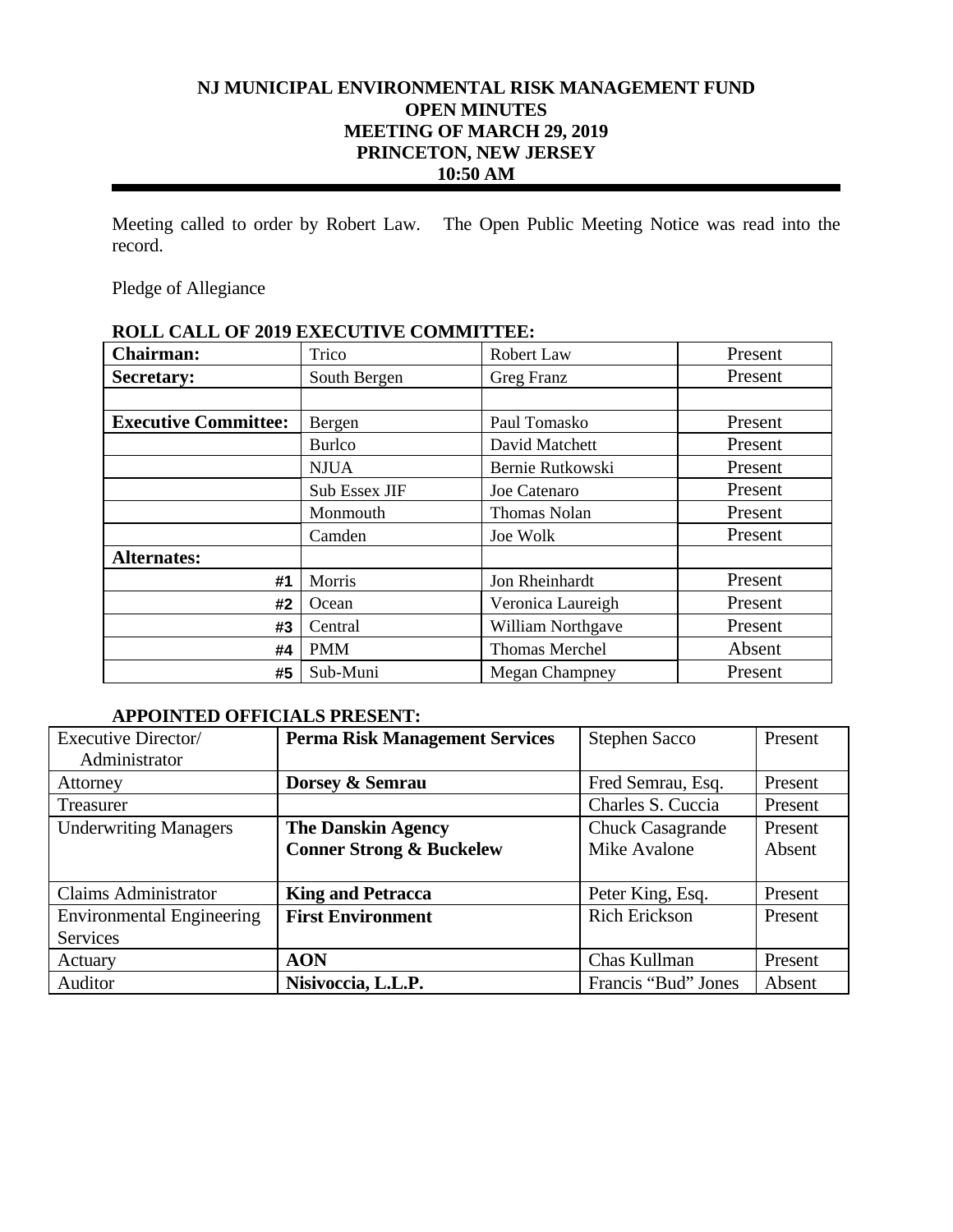# **NJ MUNICIPAL ENVIRONMENTAL RISK MANAGEMENT FUND OPEN MINUTES MEETING OF MARCH 29, 2019 PRINCETON, NEW JERSEY 10:50 AM**

Meeting called to order by Robert Law. The Open Public Meeting Notice was read into the record.

Pledge of Allegiance

# **ROLL CALL OF 2019 EXECUTIVE COMMITTEE:**

| Chairman:                   | Trico         | Robert Law            | Present |
|-----------------------------|---------------|-----------------------|---------|
| <b>Secretary:</b>           | South Bergen  | Greg Franz            | Present |
|                             |               |                       |         |
| <b>Executive Committee:</b> | Bergen        | Paul Tomasko          | Present |
|                             | <b>Burlco</b> | David Matchett        | Present |
|                             | <b>NJUA</b>   | Bernie Rutkowski      | Present |
|                             | Sub Essex JIF | Joe Catenaro          | Present |
|                             | Monmouth      | <b>Thomas Nolan</b>   | Present |
|                             | Camden        | Joe Wolk              | Present |
| <b>Alternates:</b>          |               |                       |         |
| #1                          | Morris        | Jon Rheinhardt        | Present |
| #2                          | Ocean         | Veronica Laureigh     | Present |
| #3                          | Central       | William Northgave     | Present |
| #4                          | <b>PMM</b>    | <b>Thomas Merchel</b> | Absent  |
| #5                          | Sub-Muni      | <b>Megan Champney</b> | Present |

## **APPOINTED OFFICIALS PRESENT:**

| Executive Director/              | <b>Perma Risk Management Services</b> | <b>Stephen Sacco</b>    | Present |
|----------------------------------|---------------------------------------|-------------------------|---------|
| Administrator                    |                                       |                         |         |
| Attorney                         | Dorsey & Semrau                       | Fred Semrau, Esq.       | Present |
| Treasurer                        |                                       | Charles S. Cuccia       | Present |
| <b>Underwriting Managers</b>     | <b>The Danskin Agency</b>             | <b>Chuck Casagrande</b> | Present |
|                                  | <b>Conner Strong &amp; Buckelew</b>   | Mike Avalone            | Absent  |
|                                  |                                       |                         |         |
| <b>Claims Administrator</b>      | <b>King and Petracca</b>              | Peter King, Esq.        | Present |
| <b>Environmental Engineering</b> | <b>First Environment</b>              | <b>Rich Erickson</b>    | Present |
| <b>Services</b>                  |                                       |                         |         |
| Actuary                          | <b>AON</b>                            | Chas Kullman            | Present |
| Auditor                          | Nisivoccia, L.L.P.                    | Francis "Bud" Jones     | Absent  |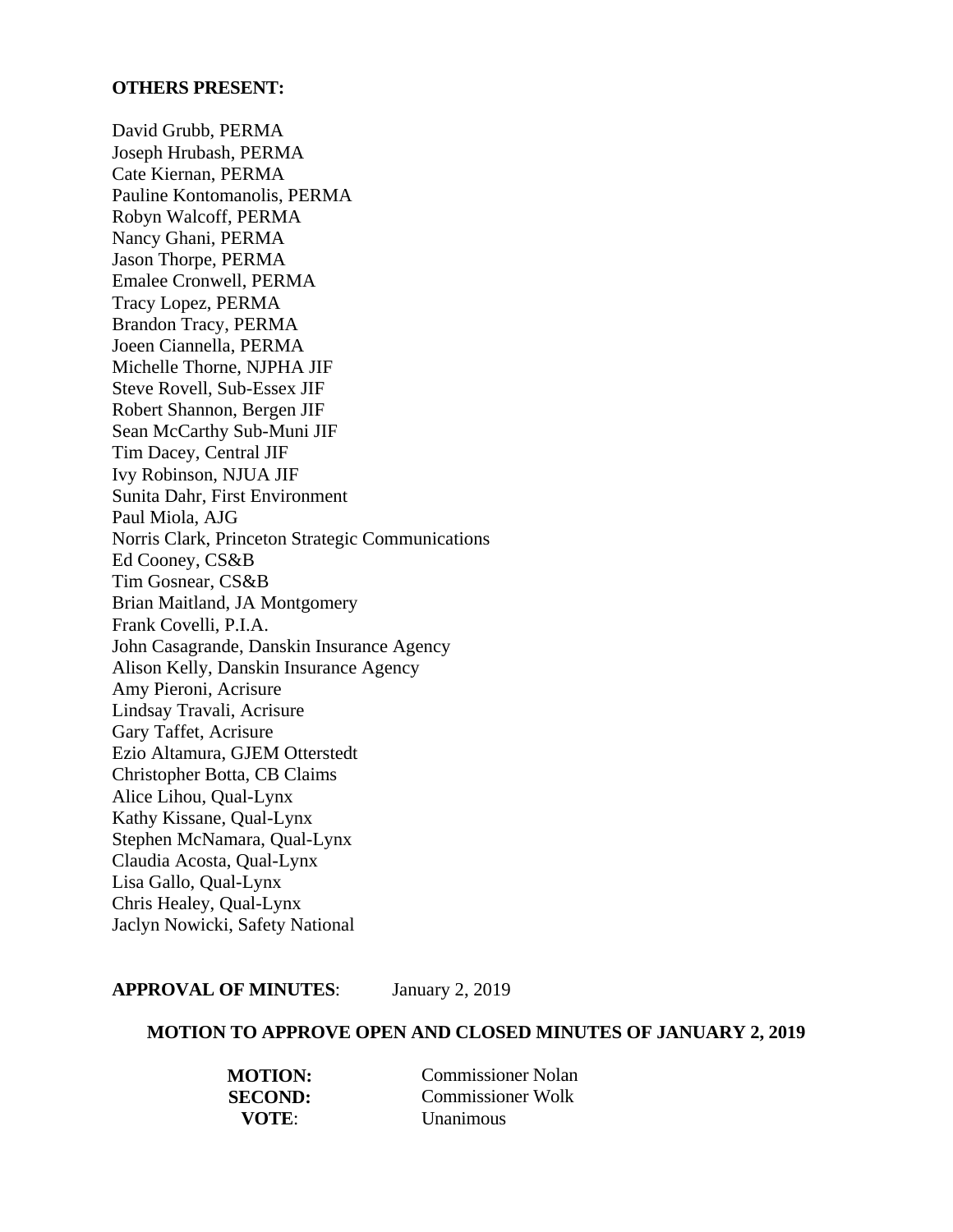## **OTHERS PRESENT:**

David Grubb, PERMA Joseph Hrubash, PERMA Cate Kiernan, PERMA Pauline Kontomanolis, PERMA Robyn Walcoff, PERMA Nancy Ghani, PERMA Jason Thorpe, PERMA Emalee Cronwell, PERMA Tracy Lopez, PERMA Brandon Tracy, PERMA Joeen Ciannella, PERMA Michelle Thorne, NJPHA JIF Steve Rovell, Sub-Essex JIF Robert Shannon, Bergen JIF Sean McCarthy Sub-Muni JIF Tim Dacey, Central JIF Ivy Robinson, NJUA JIF Sunita Dahr, First Environment Paul Miola, AJG Norris Clark, Princeton Strategic Communications Ed Cooney, CS&B Tim Gosnear, CS&B Brian Maitland, JA Montgomery Frank Covelli, P.I.A. John Casagrande, Danskin Insurance Agency Alison Kelly, Danskin Insurance Agency Amy Pieroni, Acrisure Lindsay Travali, Acrisure Gary Taffet, Acrisure Ezio Altamura, GJEM Otterstedt Christopher Botta, CB Claims Alice Lihou, Qual-Lynx Kathy Kissane, Qual-Lynx Stephen McNamara, Qual-Lynx Claudia Acosta, Qual-Lynx Lisa Gallo, Qual-Lynx Chris Healey, Qual-Lynx Jaclyn Nowicki, Safety National

## **APPROVAL OF MINUTES**: January 2, 2019

#### **MOTION TO APPROVE OPEN AND CLOSED MINUTES OF JANUARY 2, 2019**

| <b>MOTION:</b> | <b>Commissioner Nolan</b> |
|----------------|---------------------------|
| <b>SECOND:</b> | <b>Commissioner Wolk</b>  |
| VOTE:          | <b>Unanimous</b>          |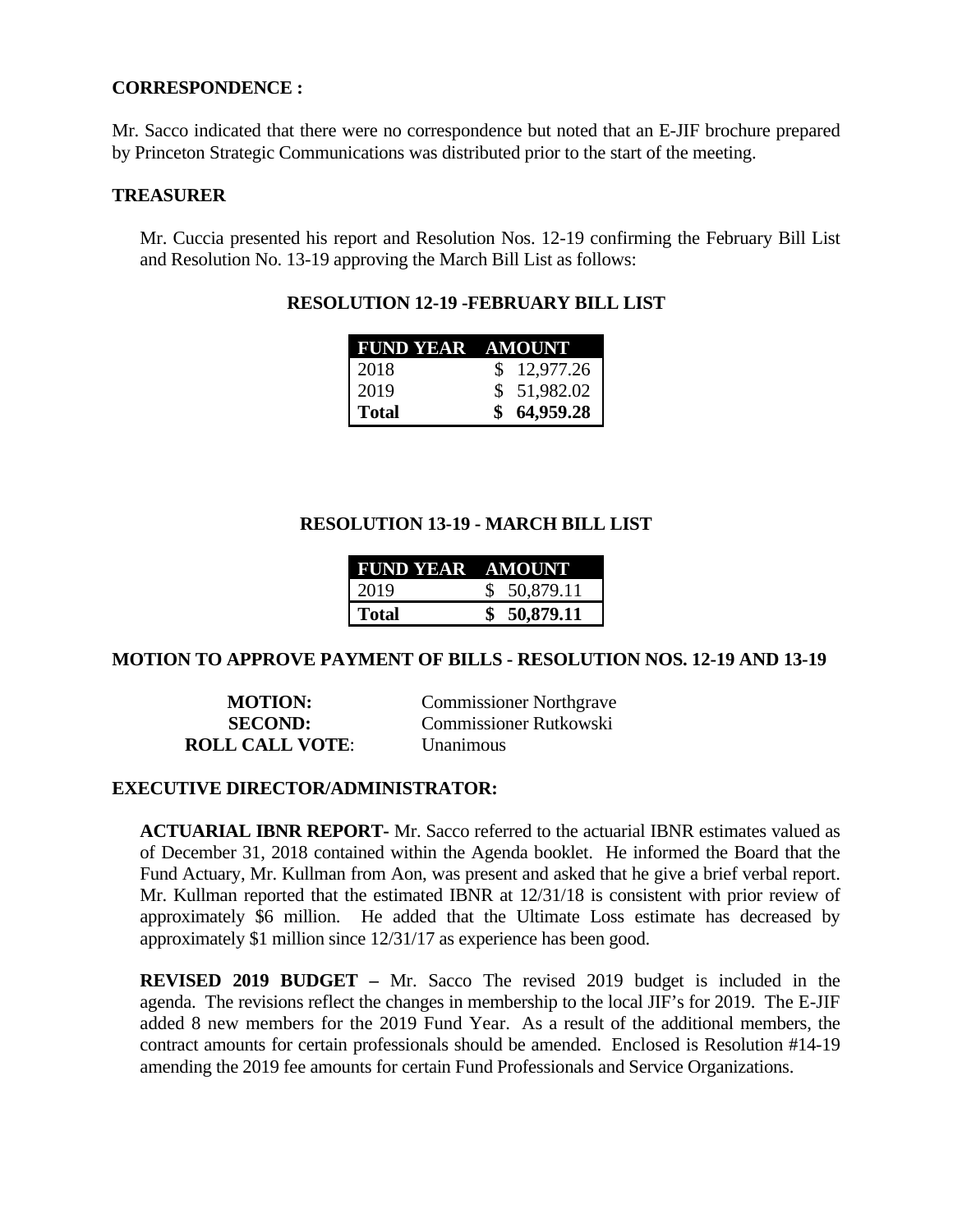## **CORRESPONDENCE :**

Mr. Sacco indicated that there were no correspondence but noted that an E-JIF brochure prepared by Princeton Strategic Communications was distributed prior to the start of the meeting.

## **TREASURER**

Mr. Cuccia presented his report and Resolution Nos. 12-19 confirming the February Bill List and Resolution No. 13-19 approving the March Bill List as follows:

# **RESOLUTION 12-19 -FEBRUARY BILL LIST**

| FUND YEAR AMOUNT |             |
|------------------|-------------|
| 2018             | \$12,977.26 |
| 2019             | \$51,982.02 |
| Total            | \$64,959.28 |

# **RESOLUTION 13-19 - MARCH BILL LIST**

| <b>FUND YEAR AMOUNT</b> |              |
|-------------------------|--------------|
| 2019                    | \$ 50,879.11 |
| <b>Total</b>            | \$ 50,879.11 |

## **MOTION TO APPROVE PAYMENT OF BILLS - RESOLUTION NOS. 12-19 AND 13-19**

**ROLL CALL VOTE**: Unanimous

**MOTION:** Commissioner Northgrave **SECOND:** Commissioner Rutkowski

## **EXECUTIVE DIRECTOR/ADMINISTRATOR:**

**ACTUARIAL IBNR REPORT-** Mr. Sacco referred to the actuarial IBNR estimates valued as of December 31, 2018 contained within the Agenda booklet. He informed the Board that the Fund Actuary, Mr. Kullman from Aon, was present and asked that he give a brief verbal report. Mr. Kullman reported that the estimated IBNR at 12/31/18 is consistent with prior review of approximately \$6 million. He added that the Ultimate Loss estimate has decreased by approximately \$1 million since 12/31/17 as experience has been good.

**REVISED 2019 BUDGET –** Mr. Sacco The revised 2019 budget is included in the agenda. The revisions reflect the changes in membership to the local JIF's for 2019. The E-JIF added 8 new members for the 2019 Fund Year. As a result of the additional members, the contract amounts for certain professionals should be amended. Enclosed is Resolution #14-19 amending the 2019 fee amounts for certain Fund Professionals and Service Organizations.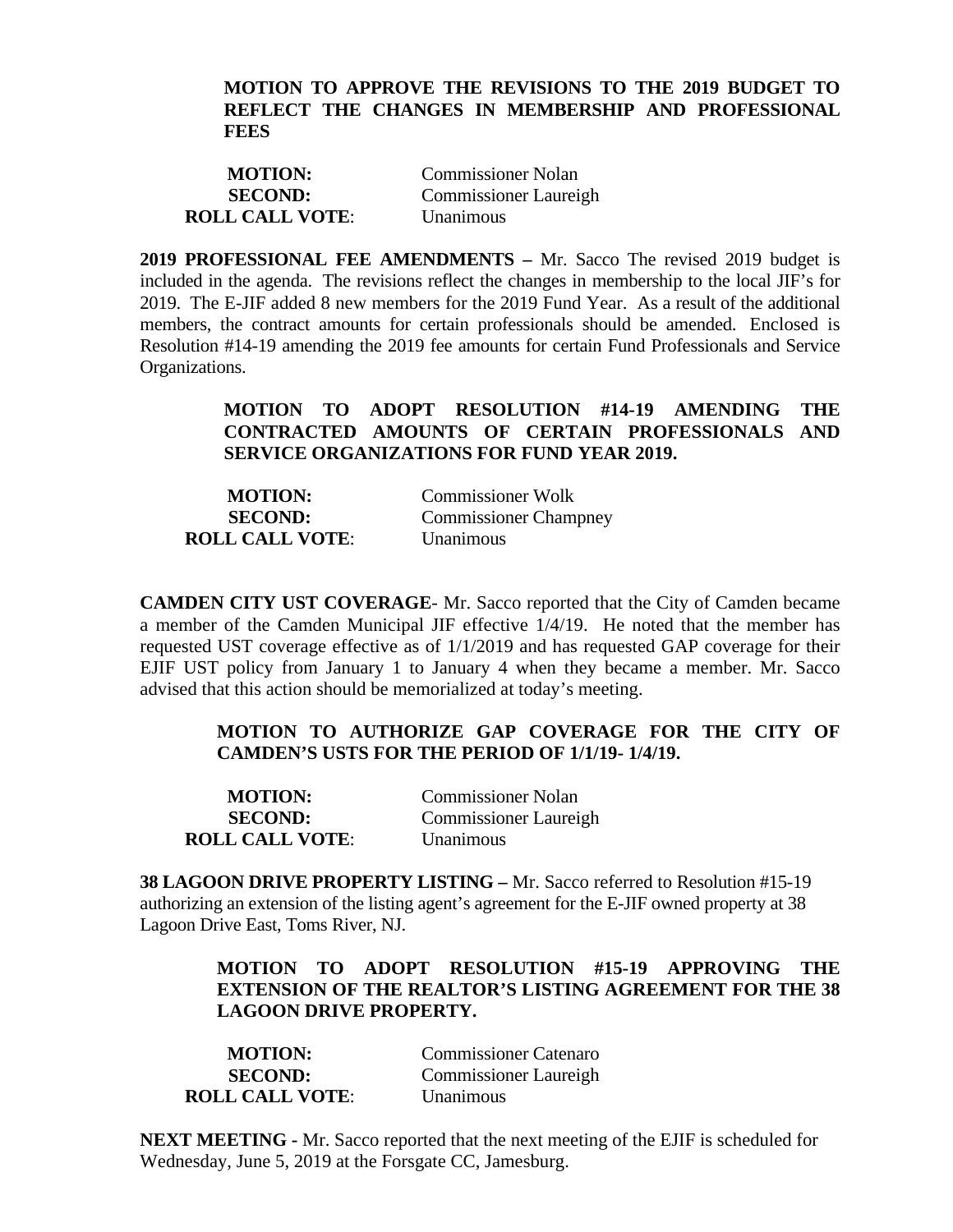## **MOTION TO APPROVE THE REVISIONS TO THE 2019 BUDGET TO REFLECT THE CHANGES IN MEMBERSHIP AND PROFESSIONAL FEES**

| <b>MOTION:</b>         | <b>Commissioner Nolan</b>    |
|------------------------|------------------------------|
| <b>SECOND:</b>         | <b>Commissioner Laureigh</b> |
| <b>ROLL CALL VOTE:</b> | <i>Unanimous</i>             |

**2019 PROFESSIONAL FEE AMENDMENTS –** Mr. Sacco The revised 2019 budget is included in the agenda. The revisions reflect the changes in membership to the local JIF's for 2019. The E-JIF added 8 new members for the 2019 Fund Year. As a result of the additional members, the contract amounts for certain professionals should be amended. Enclosed is Resolution #14-19 amending the 2019 fee amounts for certain Fund Professionals and Service Organizations.

# **MOTION TO ADOPT RESOLUTION #14-19 AMENDING THE CONTRACTED AMOUNTS OF CERTAIN PROFESSIONALS AND SERVICE ORGANIZATIONS FOR FUND YEAR 2019.**

| <b>MOTION:</b>         | <b>Commissioner Wolk</b>     |
|------------------------|------------------------------|
| <b>SECOND:</b>         | <b>Commissioner Champney</b> |
| <b>ROLL CALL VOTE:</b> | <i>Unanimous</i>             |

**CAMDEN CITY UST COVERAGE**- Mr. Sacco reported that the City of Camden became a member of the Camden Municipal JIF effective 1/4/19. He noted that the member has requested UST coverage effective as of 1/1/2019 and has requested GAP coverage for their EJIF UST policy from January 1 to January 4 when they became a member. Mr. Sacco advised that this action should be memorialized at today's meeting.

# **MOTION TO AUTHORIZE GAP COVERAGE FOR THE CITY OF CAMDEN'S USTS FOR THE PERIOD OF 1/1/19- 1/4/19.**

| <b>MOTION:</b>         | <b>Commissioner Nolan</b>    |
|------------------------|------------------------------|
| <b>SECOND:</b>         | <b>Commissioner Laureigh</b> |
| <b>ROLL CALL VOTE:</b> | Unanimous                    |

**38 LAGOON DRIVE PROPERTY LISTING –** Mr. Sacco referred to Resolution #15-19 authorizing an extension of the listing agent's agreement for the E-JIF owned property at 38 Lagoon Drive East, Toms River, NJ.

# **MOTION TO ADOPT RESOLUTION #15-19 APPROVING THE EXTENSION OF THE REALTOR'S LISTING AGREEMENT FOR THE 38 LAGOON DRIVE PROPERTY.**

| <b>MOTION:</b>         | <b>Commissioner Catenaro</b> |
|------------------------|------------------------------|
| <b>SECOND:</b>         | <b>Commissioner Laureigh</b> |
| <b>ROLL CALL VOTE:</b> | Unanimous                    |

**NEXT MEETING -** Mr. Sacco reported that the next meeting of the EJIF is scheduled for Wednesday, June 5, 2019 at the Forsgate CC, Jamesburg.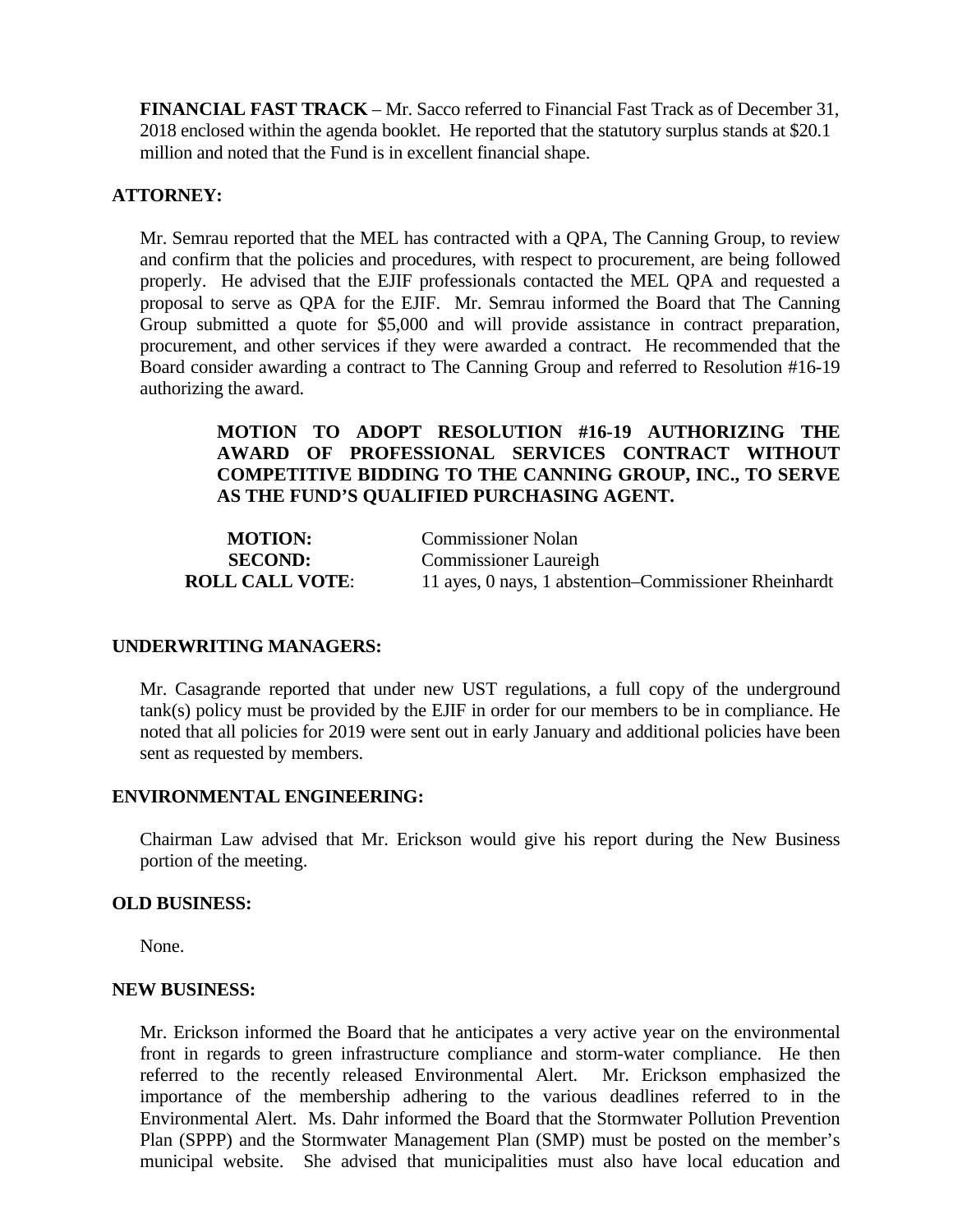**FINANCIAL FAST TRACK** – Mr. Sacco referred to Financial Fast Track as of December 31, 2018 enclosed within the agenda booklet. He reported that the statutory surplus stands at \$20.1 million and noted that the Fund is in excellent financial shape.

## **ATTORNEY:**

Mr. Semrau reported that the MEL has contracted with a QPA, The Canning Group, to review and confirm that the policies and procedures, with respect to procurement, are being followed properly. He advised that the EJIF professionals contacted the MEL QPA and requested a proposal to serve as QPA for the EJIF. Mr. Semrau informed the Board that The Canning Group submitted a quote for \$5,000 and will provide assistance in contract preparation, procurement, and other services if they were awarded a contract. He recommended that the Board consider awarding a contract to The Canning Group and referred to Resolution #16-19 authorizing the award.

# **MOTION TO ADOPT RESOLUTION #16-19 AUTHORIZING THE AWARD OF PROFESSIONAL SERVICES CONTRACT WITHOUT COMPETITIVE BIDDING TO THE CANNING GROUP, INC., TO SERVE AS THE FUND'S QUALIFIED PURCHASING AGENT.**

| <b>MOTION:</b>         | <b>Commissioner Nolan</b>                             |
|------------------------|-------------------------------------------------------|
| <b>SECOND:</b>         | <b>Commissioner Laureigh</b>                          |
| <b>ROLL CALL VOTE:</b> | 11 ayes, 0 nays, 1 abstention–Commissioner Rheinhardt |

### **UNDERWRITING MANAGERS:**

Mr. Casagrande reported that under new UST regulations, a full copy of the underground tank(s) policy must be provided by the EJIF in order for our members to be in compliance. He noted that all policies for 2019 were sent out in early January and additional policies have been sent as requested by members.

### **ENVIRONMENTAL ENGINEERING:**

Chairman Law advised that Mr. Erickson would give his report during the New Business portion of the meeting.

### **OLD BUSINESS:**

None.

### **NEW BUSINESS:**

Mr. Erickson informed the Board that he anticipates a very active year on the environmental front in regards to green infrastructure compliance and storm-water compliance. He then referred to the recently released Environmental Alert. Mr. Erickson emphasized the importance of the membership adhering to the various deadlines referred to in the Environmental Alert. Ms. Dahr informed the Board that the Stormwater Pollution Prevention Plan (SPPP) and the Stormwater Management Plan (SMP) must be posted on the member's municipal website. She advised that municipalities must also have local education and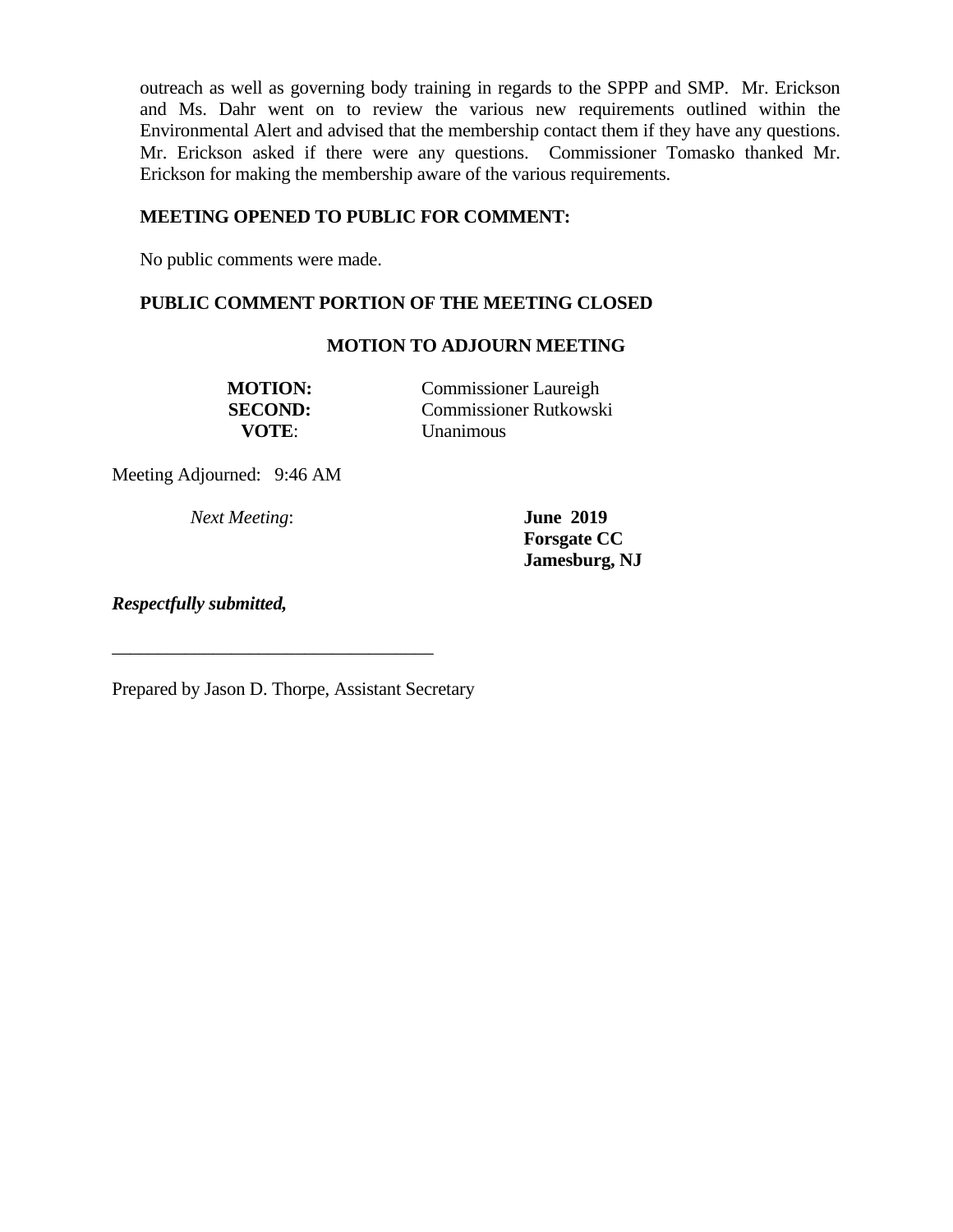outreach as well as governing body training in regards to the SPPP and SMP. Mr. Erickson and Ms. Dahr went on to review the various new requirements outlined within the Environmental Alert and advised that the membership contact them if they have any questions. Mr. Erickson asked if there were any questions. Commissioner Tomasko thanked Mr. Erickson for making the membership aware of the various requirements.

# **MEETING OPENED TO PUBLIC FOR COMMENT:**

No public comments were made.

# **PUBLIC COMMENT PORTION OF THE MEETING CLOSED**

## **MOTION TO ADJOURN MEETING**

**MOTION:** Commissioner Laureigh **SECOND:** Commissioner Rutkowski **VOTE**: Unanimous

Meeting Adjourned: 9:46 AM

*Next Meeting*: **June 2019** 

**Forsgate CC Jamesburg, NJ** 

*Respectfully submitted,*

Prepared by Jason D. Thorpe, Assistant Secretary

\_\_\_\_\_\_\_\_\_\_\_\_\_\_\_\_\_\_\_\_\_\_\_\_\_\_\_\_\_\_\_\_\_\_\_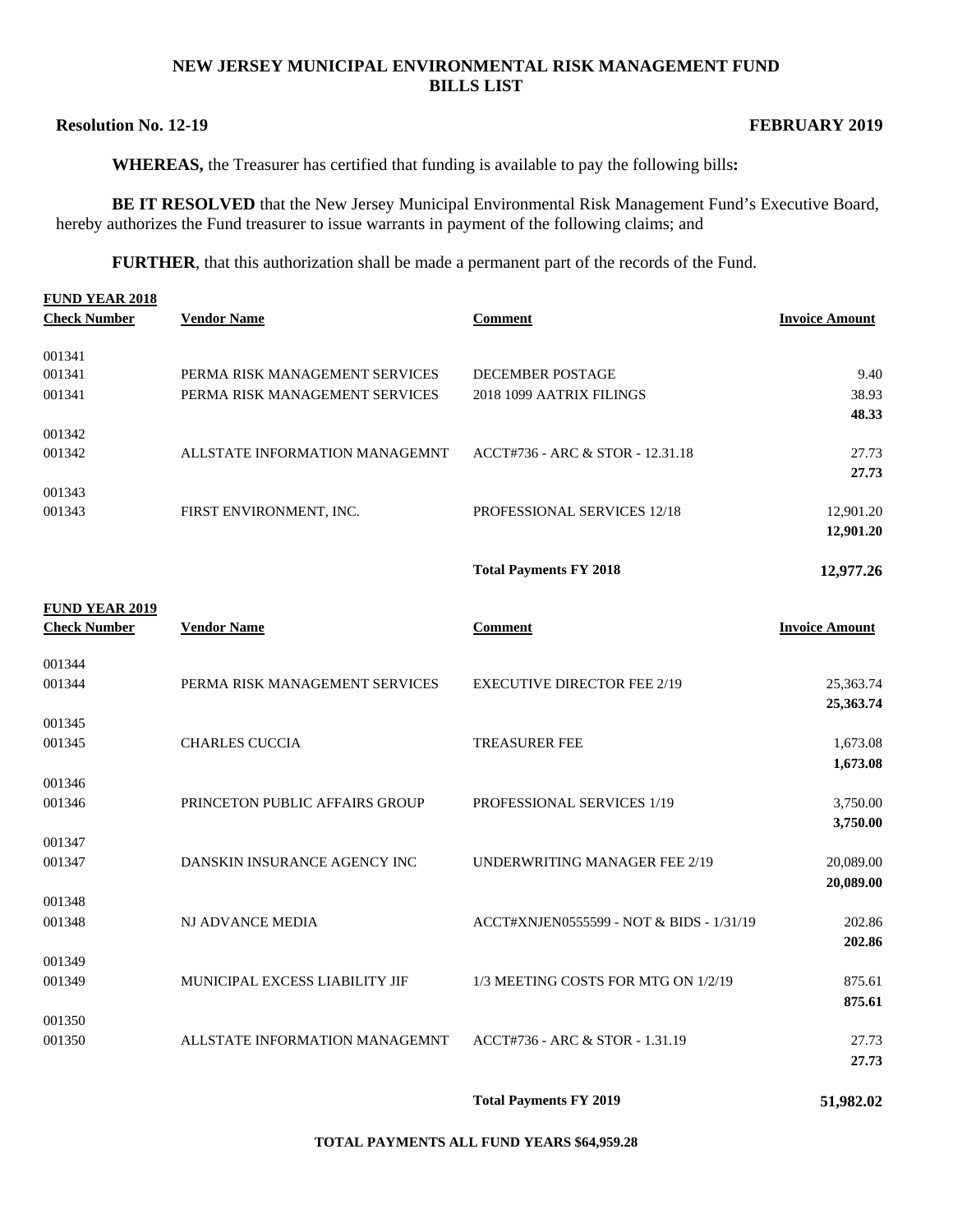#### **NEW JERSEY MUNICIPAL ENVIRONMENTAL RISK MANAGEMENT FUND BILLS LIST**

### **Resolution No. 12-19** FEBRUARY 2019

**WHEREAS,** the Treasurer has certified that funding is available to pay the following bills**:** 

**BE IT RESOLVED** that the New Jersey Municipal Environmental Risk Management Fund's Executive Board, hereby authorizes the Fund treasurer to issue warrants in payment of the following claims; and

**FURTHER**, that this authorization shall be made a permanent part of the records of the Fund.

| <b>FUND YEAR 2018</b> |                                 |                                    |                       |
|-----------------------|---------------------------------|------------------------------------|-----------------------|
| <b>Check Number</b>   | <b>Vendor Name</b>              | <b>Comment</b>                     | <b>Invoice Amount</b> |
| 001341                |                                 |                                    |                       |
| 001341                | PERMA RISK MANAGEMENT SERVICES  | <b>DECEMBER POSTAGE</b>            | 9.40                  |
| 001341                | PERMA RISK MANAGEMENT SERVICES  | 2018 1099 AATRIX FILINGS           | 38.93                 |
|                       |                                 |                                    | 48.33                 |
| 001342                |                                 |                                    |                       |
| 001342                | ALL STATE INFORMATION MANAGEMNT | ACCT#736 - ARC & STOR - 12.31.18   | 27.73                 |
|                       |                                 |                                    | 27.73                 |
| 001343                |                                 |                                    |                       |
| 001343                | FIRST ENVIRONMENT, INC.         | <b>PROFESSIONAL SERVICES 12/18</b> | 12,901.20             |
|                       |                                 |                                    | 12,901.20             |

**Total Payments FY 2018 12,977.26** 

| <b>FUND YEAR 2019</b><br><b>Check Number</b> | <b>Vendor Name</b>             | Comment                                  | <b>Invoice Amount</b> |
|----------------------------------------------|--------------------------------|------------------------------------------|-----------------------|
| 001344<br>001344                             | PERMA RISK MANAGEMENT SERVICES | <b>EXECUTIVE DIRECTOR FEE 2/19</b>       | 25,363.74             |
|                                              |                                |                                          | 25,363.74             |
| 001345                                       |                                |                                          |                       |
| 001345                                       | <b>CHARLES CUCCIA</b>          | <b>TREASURER FEE</b>                     | 1,673.08              |
|                                              |                                |                                          | 1,673.08              |
| 001346                                       |                                |                                          |                       |
| 001346                                       | PRINCETON PUBLIC AFFAIRS GROUP | PROFESSIONAL SERVICES 1/19               | 3,750.00<br>3,750.00  |
| 001347                                       |                                |                                          |                       |
| 001347                                       | DANSKIN INSURANCE AGENCY INC   | UNDERWRITING MANAGER FEE 2/19            | 20,089.00             |
|                                              |                                |                                          | 20,089.00             |
| 001348                                       |                                |                                          |                       |
| 001348                                       | <b>NJ ADVANCE MEDIA</b>        | ACCT#XNJEN0555599 - NOT & BIDS - 1/31/19 | 202.86                |
|                                              |                                |                                          | 202.86                |
| 001349<br>001349                             | MUNICIPAL EXCESS LIABILITY JIF | 1/3 MEETING COSTS FOR MTG ON 1/2/19      | 875.61                |
|                                              |                                |                                          | 875.61                |
| 001350                                       |                                |                                          |                       |
| 001350                                       | ALLSTATE INFORMATION MANAGEMNT | ACCT#736 - ARC & STOR - 1.31.19          | 27.73                 |
|                                              |                                |                                          | 27.73                 |
|                                              |                                |                                          |                       |

**Total Payments FY 2019 51,982.02** 

**TOTAL PAYMENTS ALL FUND YEARS \$64,959.28**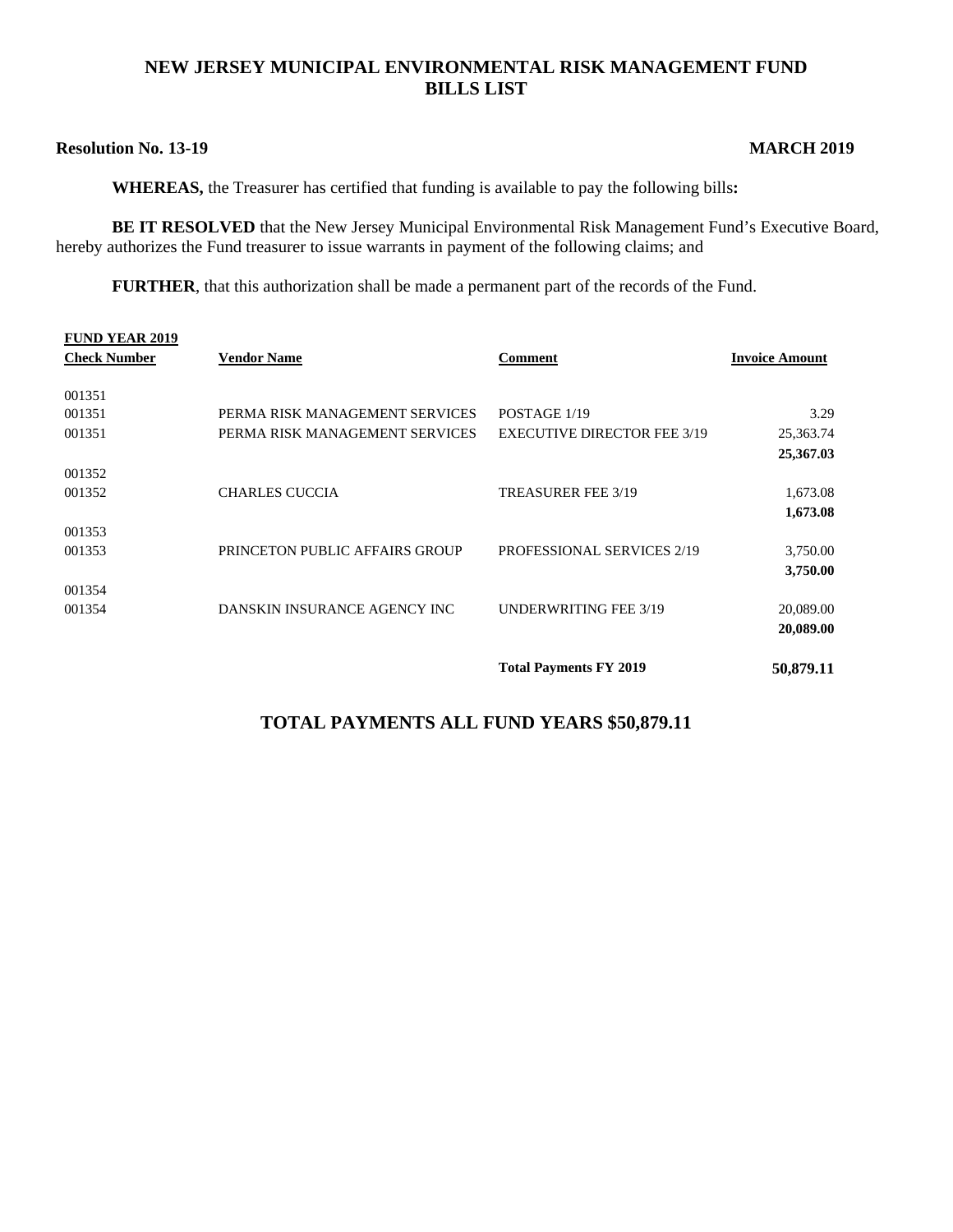# **NEW JERSEY MUNICIPAL ENVIRONMENTAL RISK MANAGEMENT FUND BILLS LIST**

## **Resolution No. 13-19 MARCH 2019**

**WHEREAS,** the Treasurer has certified that funding is available to pay the following bills**:** 

**BE IT RESOLVED** that the New Jersey Municipal Environmental Risk Management Fund's Executive Board, hereby authorizes the Fund treasurer to issue warrants in payment of the following claims; and

**FURTHER**, that this authorization shall be made a permanent part of the records of the Fund.

| <b>FUND YEAR 2019</b> |                                |                                    |                       |
|-----------------------|--------------------------------|------------------------------------|-----------------------|
| <b>Check Number</b>   | <b>Vendor Name</b>             | <b>Comment</b>                     | <b>Invoice Amount</b> |
|                       |                                |                                    |                       |
| 001351                |                                |                                    |                       |
| 001351                | PERMA RISK MANAGEMENT SERVICES | POSTAGE 1/19                       | 3.29                  |
| 001351                | PERMA RISK MANAGEMENT SERVICES | <b>EXECUTIVE DIRECTOR FEE 3/19</b> | 25,363.74             |
|                       |                                |                                    | 25,367.03             |
| 001352                |                                |                                    |                       |
| 001352                | <b>CHARLES CUCCIA</b>          | TREASURER FEE 3/19                 | 1,673.08              |
|                       |                                |                                    | 1,673.08              |
| 001353                |                                |                                    |                       |
| 001353                | PRINCETON PUBLIC AFFAIRS GROUP | <b>PROFESSIONAL SERVICES 2/19</b>  | 3,750.00              |
|                       |                                |                                    | 3,750.00              |
| 001354                |                                |                                    |                       |
| 001354                | DANSKIN INSURANCE AGENCY INC   | <b>UNDERWRITING FEE 3/19</b>       | 20,089.00             |
|                       |                                |                                    | 20,089.00             |
|                       |                                | <b>Total Payments FY 2019</b>      | 50,879.11             |

# **TOTAL PAYMENTS ALL FUND YEARS \$50,879.11**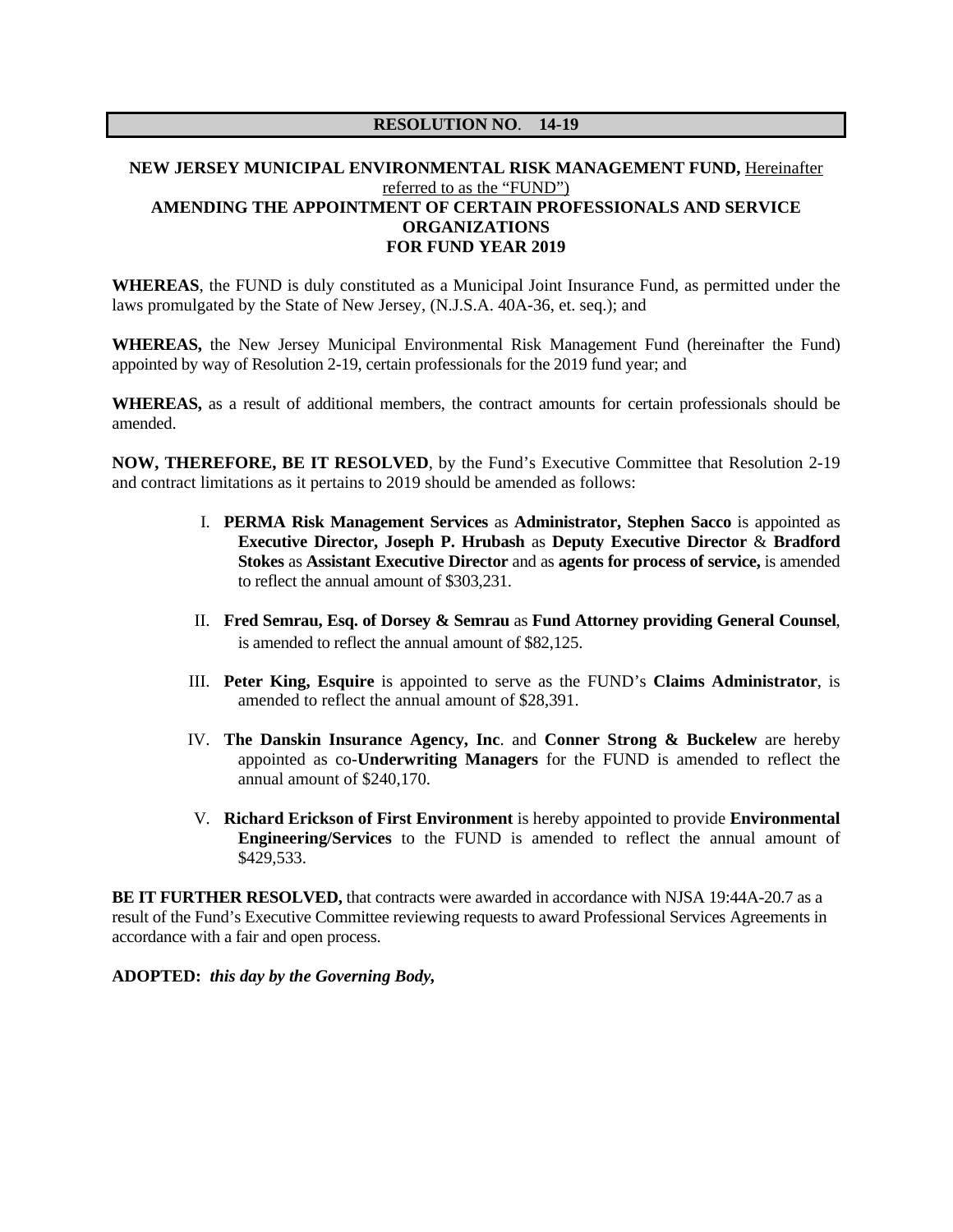## **NEW JERSEY MUNICIPAL ENVIRONMENTAL RISK MANAGEMENT FUND,** Hereinafter referred to as the "FUND") **AMENDING THE APPOINTMENT OF CERTAIN PROFESSIONALS AND SERVICE ORGANIZATIONS FOR FUND YEAR 2019**

**WHEREAS**, the FUND is duly constituted as a Municipal Joint Insurance Fund, as permitted under the laws promulgated by the State of New Jersey, (N.J.S.A. 40A-36, et. seq.); and

**WHEREAS,** the New Jersey Municipal Environmental Risk Management Fund (hereinafter the Fund) appointed by way of Resolution 2-19, certain professionals for the 2019 fund year; and

**WHEREAS,** as a result of additional members, the contract amounts for certain professionals should be amended.

**NOW, THEREFORE, BE IT RESOLVED**, by the Fund's Executive Committee that Resolution 2-19 and contract limitations as it pertains to 2019 should be amended as follows:

- I. **PERMA Risk Management Services** as **Administrator, Stephen Sacco** is appointed as **Executive Director, Joseph P. Hrubash** as **Deputy Executive Director** & **Bradford Stokes** as **Assistant Executive Director** and as **agents for process of service,** is amended to reflect the annual amount of \$303,231.
- II. **Fred Semrau, Esq. of Dorsey & Semrau** as **Fund Attorney providing General Counsel**, is amended to reflect the annual amount of \$82,125.
- III. **Peter King, Esquire** is appointed to serve as the FUND's **Claims Administrator**, is amended to reflect the annual amount of \$28,391.
- IV. **The Danskin Insurance Agency, Inc**. and **Conner Strong & Buckelew** are hereby appointed as co-**Underwriting Managers** for the FUND is amended to reflect the annual amount of \$240,170.
- V. **Richard Erickson of First Environment** is hereby appointed to provide **Environmental Engineering/Services** to the FUND is amended to reflect the annual amount of \$429,533.

**BE IT FURTHER RESOLVED, that contracts were awarded in accordance with NJSA 19:44A-20.7 as a** result of the Fund's Executive Committee reviewing requests to award Professional Services Agreements in accordance with a fair and open process.

**ADOPTED:** *this day by the Governing Body,*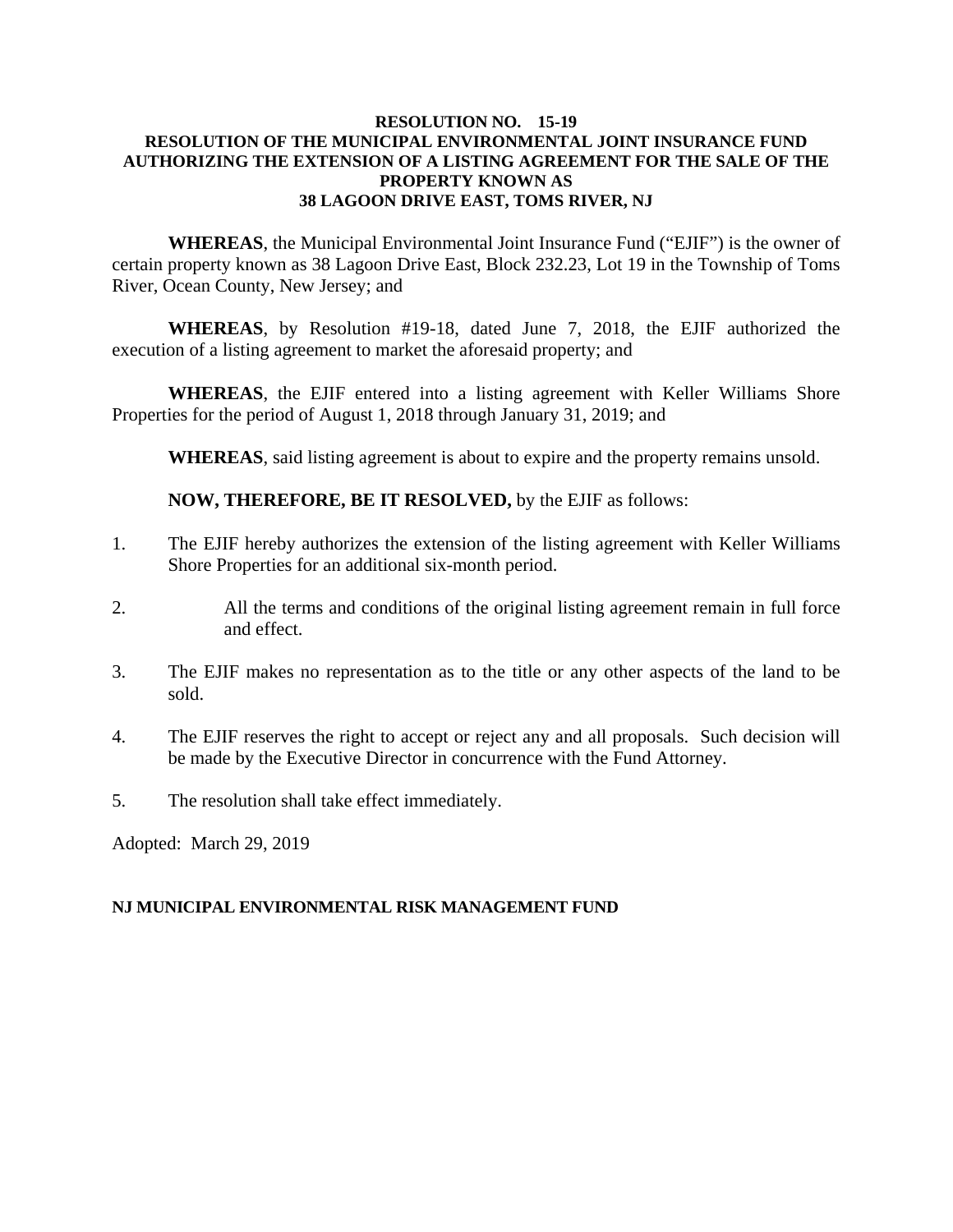### **RESOLUTION NO. 15-19 RESOLUTION OF THE MUNICIPAL ENVIRONMENTAL JOINT INSURANCE FUND AUTHORIZING THE EXTENSION OF A LISTING AGREEMENT FOR THE SALE OF THE PROPERTY KNOWN AS 38 LAGOON DRIVE EAST, TOMS RIVER, NJ**

**WHEREAS**, the Municipal Environmental Joint Insurance Fund ("EJIF") is the owner of certain property known as 38 Lagoon Drive East, Block 232.23, Lot 19 in the Township of Toms River, Ocean County, New Jersey; and

**WHEREAS**, by Resolution #19-18, dated June 7, 2018, the EJIF authorized the execution of a listing agreement to market the aforesaid property; and

**WHEREAS**, the EJIF entered into a listing agreement with Keller Williams Shore Properties for the period of August 1, 2018 through January 31, 2019; and

**WHEREAS**, said listing agreement is about to expire and the property remains unsold.

**NOW, THEREFORE, BE IT RESOLVED,** by the EJIF as follows:

- 1. The EJIF hereby authorizes the extension of the listing agreement with Keller Williams Shore Properties for an additional six-month period.
- 2. All the terms and conditions of the original listing agreement remain in full force and effect.
- 3. The EJIF makes no representation as to the title or any other aspects of the land to be sold.
- 4. The EJIF reserves the right to accept or reject any and all proposals. Such decision will be made by the Executive Director in concurrence with the Fund Attorney.
- 5. The resolution shall take effect immediately.

Adopted: March 29, 2019

### **NJ MUNICIPAL ENVIRONMENTAL RISK MANAGEMENT FUND**